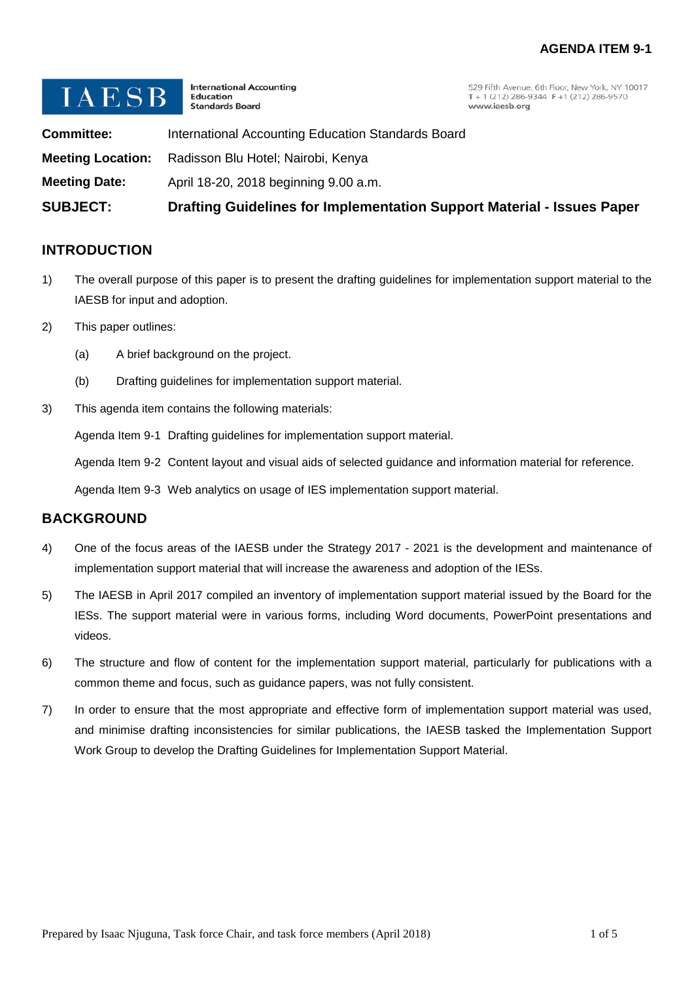## **AGENDA ITEM 9-1**

| $\blacksquare$ $\blacksquare$ $\blacksquare$ $\blacksquare$ $\blacksquare$ $\blacksquare$ $\blacksquare$ | <b>International Accounting</b><br><b>Education</b><br><b>Standards Board</b> | 529 Fifth Avenue, 6th Floor, New York, NY 10017<br>$T + 1(212)$ 286-9344 F +1 (212) 286-9570<br>www.iaesb.org |
|----------------------------------------------------------------------------------------------------------|-------------------------------------------------------------------------------|---------------------------------------------------------------------------------------------------------------|
| <b>Committee:</b>                                                                                        | International Accounting Education Standards Board                            |                                                                                                               |
| <b>Meeting Location:</b>                                                                                 | Radisson Blu Hotel; Nairobi, Kenya                                            |                                                                                                               |
| <b>Meeting Date:</b>                                                                                     | April 18-20, 2018 beginning 9.00 a.m.                                         |                                                                                                               |
| <b>SUBJECT:</b>                                                                                          | Drafting Guidelines for Implementation Support Material - Issues Paper        |                                                                                                               |

# **INTRODUCTION**

- 1) The overall purpose of this paper is to present the drafting guidelines for implementation support material to the IAESB for input and adoption.
- 2) This paper outlines:
	- (a) A brief background on the project.
	- (b) Drafting guidelines for implementation support material.
- 3) This agenda item contains the following materials:

Agenda Item 9-1 Drafting guidelines for implementation support material.

Agenda Item 9-2 Content layout and visual aids of selected guidance and information material for reference.

Agenda Item 9-3 Web analytics on usage of IES implementation support material.

## **BACKGROUND**

- 4) One of the focus areas of the IAESB under the Strategy 2017 2021 is the development and maintenance of implementation support material that will increase the awareness and adoption of the IESs.
- 5) The IAESB in April 2017 compiled an inventory of implementation support material issued by the Board for the IESs. The support material were in various forms, including Word documents, PowerPoint presentations and videos.
- 6) The structure and flow of content for the implementation support material, particularly for publications with a common theme and focus, such as guidance papers, was not fully consistent.
- 7) In order to ensure that the most appropriate and effective form of implementation support material was used, and minimise drafting inconsistencies for similar publications, the IAESB tasked the Implementation Support Work Group to develop the Drafting Guidelines for Implementation Support Material.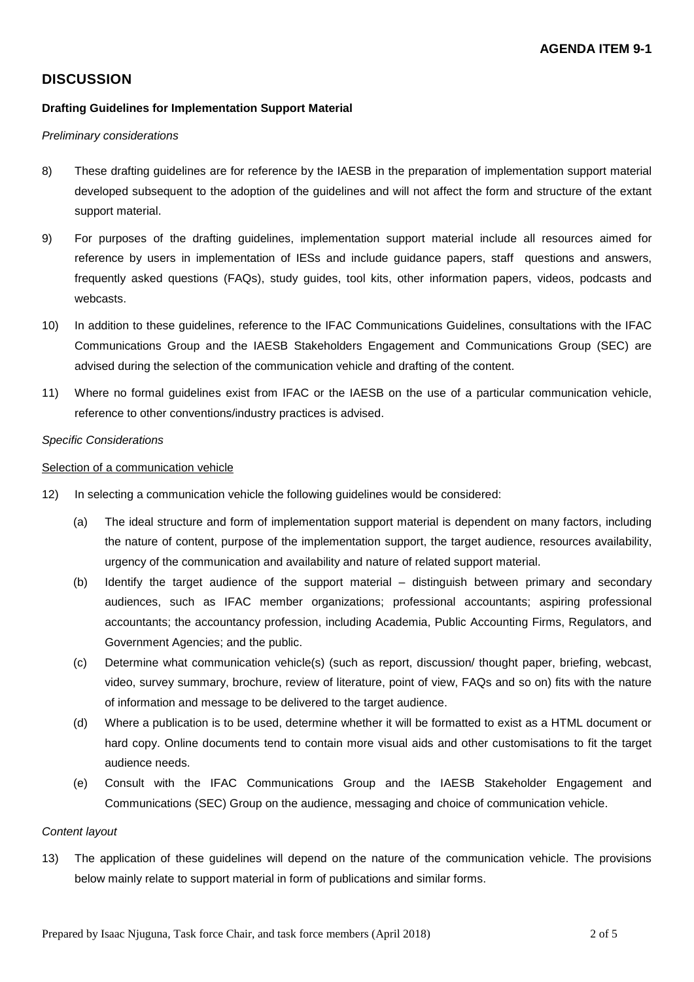## **DISCUSSION**

#### **Drafting Guidelines for Implementation Support Material**

#### *Preliminary considerations*

- 8) These drafting guidelines are for reference by the IAESB in the preparation of implementation support material developed subsequent to the adoption of the guidelines and will not affect the form and structure of the extant support material.
- 9) For purposes of the drafting guidelines, implementation support material include all resources aimed for reference by users in implementation of IESs and include guidance papers, staff questions and answers, frequently asked questions (FAQs), study guides, tool kits, other information papers, videos, podcasts and webcasts.
- 10) In addition to these guidelines, reference to the IFAC Communications Guidelines, consultations with the IFAC Communications Group and the IAESB Stakeholders Engagement and Communications Group (SEC) are advised during the selection of the communication vehicle and drafting of the content.
- 11) Where no formal guidelines exist from IFAC or the IAESB on the use of a particular communication vehicle, reference to other conventions/industry practices is advised.

#### *Specific Considerations*

#### Selection of a communication vehicle

- 12) In selecting a communication vehicle the following guidelines would be considered:
	- (a) The ideal structure and form of implementation support material is dependent on many factors, including the nature of content, purpose of the implementation support, the target audience, resources availability, urgency of the communication and availability and nature of related support material.
	- (b) Identify the target audience of the support material distinguish between primary and secondary audiences, such as IFAC member organizations; professional accountants; aspiring professional accountants; the accountancy profession, including Academia, Public Accounting Firms, Regulators, and Government Agencies; and the public.
	- (c) Determine what communication vehicle(s) (such as report, discussion/ thought paper, briefing, webcast, video, survey summary, brochure, review of literature, point of view, FAQs and so on) fits with the nature of information and message to be delivered to the target audience.
	- (d) Where a publication is to be used, determine whether it will be formatted to exist as a HTML document or hard copy. Online documents tend to contain more visual aids and other customisations to fit the target audience needs.
	- (e) Consult with the IFAC Communications Group and the IAESB Stakeholder Engagement and Communications (SEC) Group on the audience, messaging and choice of communication vehicle.

#### *Content layout*

13) The application of these guidelines will depend on the nature of the communication vehicle. The provisions below mainly relate to support material in form of publications and similar forms.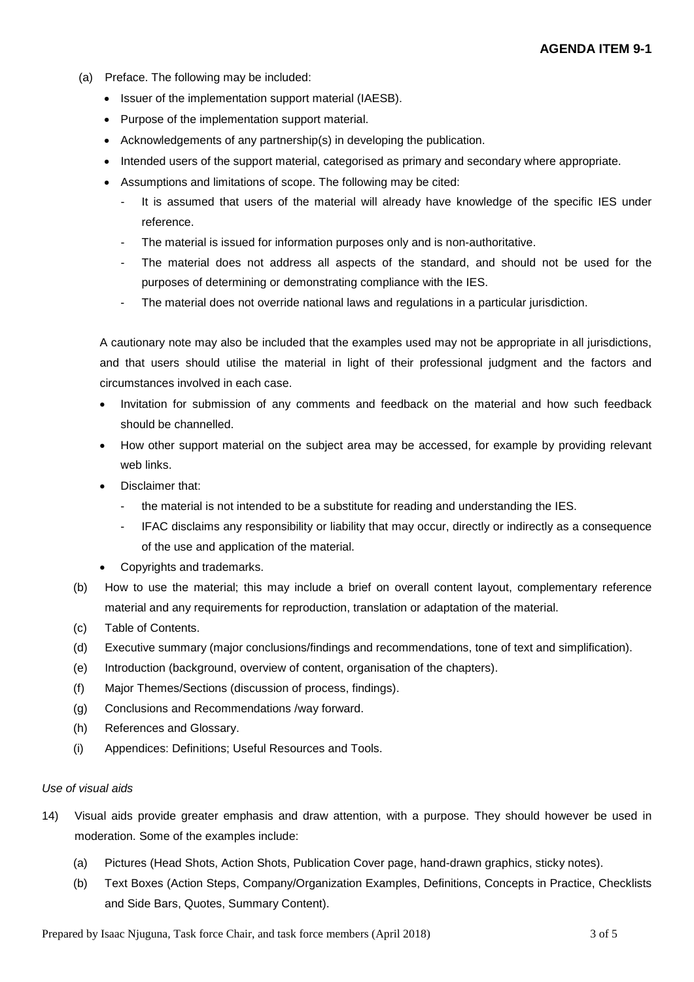- (a) Preface. The following may be included:
	- Issuer of the implementation support material (IAESB).
	- Purpose of the implementation support material.
	- Acknowledgements of any partnership(s) in developing the publication.
	- Intended users of the support material, categorised as primary and secondary where appropriate.
	- Assumptions and limitations of scope. The following may be cited:
		- It is assumed that users of the material will already have knowledge of the specific IES under reference.
		- The material is issued for information purposes only and is non-authoritative.
		- The material does not address all aspects of the standard, and should not be used for the purposes of determining or demonstrating compliance with the IES.
		- The material does not override national laws and regulations in a particular jurisdiction.

A cautionary note may also be included that the examples used may not be appropriate in all jurisdictions, and that users should utilise the material in light of their professional judgment and the factors and circumstances involved in each case.

- Invitation for submission of any comments and feedback on the material and how such feedback should be channelled.
- How other support material on the subject area may be accessed, for example by providing relevant web links.
- Disclaimer that:
	- the material is not intended to be a substitute for reading and understanding the IES.
	- IFAC disclaims any responsibility or liability that may occur, directly or indirectly as a consequence of the use and application of the material.
- Copyrights and trademarks.
- (b) How to use the material; this may include a brief on overall content layout, complementary reference material and any requirements for reproduction, translation or adaptation of the material.
- (c) Table of Contents.
- (d) Executive summary (major conclusions/findings and recommendations, tone of text and simplification).
- (e) Introduction (background, overview of content, organisation of the chapters).
- (f) Major Themes/Sections (discussion of process, findings).
- (g) Conclusions and Recommendations /way forward.
- (h) References and Glossary.
- (i) Appendices: Definitions; Useful Resources and Tools.

#### *Use of visual aids*

- 14) Visual aids provide greater emphasis and draw attention, with a purpose. They should however be used in moderation. Some of the examples include:
	- (a) Pictures (Head Shots, Action Shots, Publication Cover page, hand-drawn graphics, sticky notes).
	- (b) Text Boxes (Action Steps, Company/Organization Examples, Definitions, Concepts in Practice, Checklists and Side Bars, Quotes, Summary Content).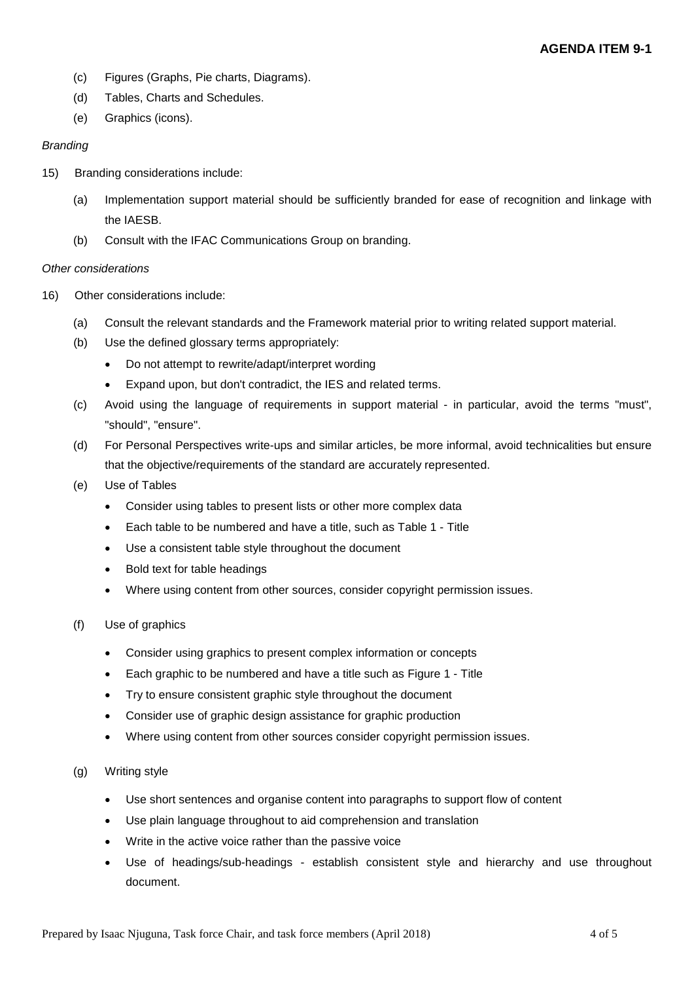- (c) Figures (Graphs, Pie charts, Diagrams).
- (d) Tables, Charts and Schedules.
- (e) Graphics (icons).

#### *Branding*

- 15) Branding considerations include:
	- (a) Implementation support material should be sufficiently branded for ease of recognition and linkage with the IAESB.
	- (b) Consult with the IFAC Communications Group on branding.

#### *Other considerations*

- 16) Other considerations include:
	- (a) Consult the relevant standards and the Framework material prior to writing related support material.
	- (b) Use the defined glossary terms appropriately:
		- Do not attempt to rewrite/adapt/interpret wording
		- Expand upon, but don't contradict, the IES and related terms.
	- (c) Avoid using the language of requirements in support material in particular, avoid the terms "must", "should", "ensure".
	- (d) For Personal Perspectives write-ups and similar articles, be more informal, avoid technicalities but ensure that the objective/requirements of the standard are accurately represented.
	- (e) Use of Tables
		- Consider using tables to present lists or other more complex data
		- Each table to be numbered and have a title, such as Table 1 Title
		- Use a consistent table style throughout the document
		- Bold text for table headings
		- Where using content from other sources, consider copyright permission issues.
	- (f) Use of graphics
		- Consider using graphics to present complex information or concepts
		- Each graphic to be numbered and have a title such as Figure 1 Title
		- Try to ensure consistent graphic style throughout the document
		- Consider use of graphic design assistance for graphic production
		- Where using content from other sources consider copyright permission issues.
	- (g) Writing style
		- Use short sentences and organise content into paragraphs to support flow of content
		- Use plain language throughout to aid comprehension and translation
		- Write in the active voice rather than the passive voice
		- Use of headings/sub-headings establish consistent style and hierarchy and use throughout document.